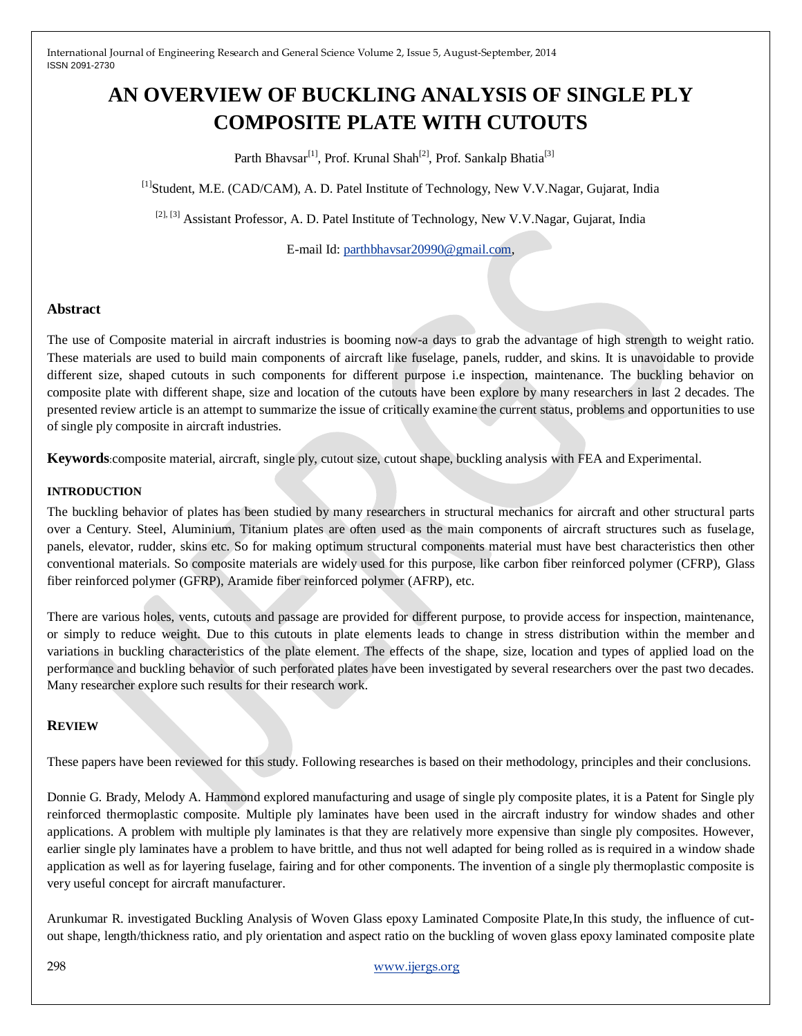# **AN OVERVIEW OF BUCKLING ANALYSIS OF SINGLE PLY COMPOSITE PLATE WITH CUTOUTS**

Parth Bhavsar<sup>[1]</sup>, Prof. Krunal Shah<sup>[2]</sup>, Prof. Sankalp Bhatia<sup>[3]</sup>

[1]Student, M.E. (CAD/CAM), A. D. Patel Institute of Technology, New V.V.Nagar, Gujarat, India

<sup>[2], [3]</sup> Assistant Professor, A. D. Patel Institute of Technology, New V.V.Nagar, Gujarat, India

E-mail Id: [parthbhavsar20990@gmail.com,](mailto:parthbhavsar20990@gmail.com)

#### **Abstract**

The use of Composite material in aircraft industries is booming now-a days to grab the advantage of high strength to weight ratio. These materials are used to build main components of aircraft like fuselage, panels, rudder, and skins. It is unavoidable to provide different size, shaped cutouts in such components for different purpose i.e inspection, maintenance. The buckling behavior on composite plate with different shape, size and location of the cutouts have been explore by many researchers in last 2 decades. The presented review article is an attempt to summarize the issue of critically examine the current status, problems and opportunities to use of single ply composite in aircraft industries.

**Keywords**:composite material, aircraft, single ply, cutout size, cutout shape, buckling analysis with FEA and Experimental.

#### **INTRODUCTION**

The buckling behavior of plates has been studied by many researchers in structural mechanics for aircraft and other structural parts over a Century. Steel, Aluminium, Titanium plates are often used as the main components of aircraft structures such as fuselage, panels, elevator, rudder, skins etc. So for making optimum structural components material must have best characteristics then other conventional materials. So composite materials are widely used for this purpose, like carbon fiber reinforced polymer (CFRP), Glass fiber reinforced polymer (GFRP), Aramide fiber reinforced polymer (AFRP), etc.

There are various holes, vents, cutouts and passage are provided for different purpose, to provide access for inspection, maintenance, or simply to reduce weight. Due to this cutouts in plate elements leads to change in stress distribution within the member and variations in buckling characteristics of the plate element. The effects of the shape, size, location and types of applied load on the performance and buckling behavior of such perforated plates have been investigated by several researchers over the past two decades. Many researcher explore such results for their research work.

#### **REVIEW**

These papers have been reviewed for this study. Following researches is based on their methodology, principles and their conclusions.

Donnie G. Brady, Melody A. Hammond explored manufacturing and usage of single ply composite plates, it is a Patent for Single ply reinforced thermoplastic composite. Multiple ply laminates have been used in the aircraft industry for window shades and other applications. A problem with multiple ply laminates is that they are relatively more expensive than single ply composites. However, earlier single ply laminates have a problem to have brittle, and thus not well adapted for being rolled as is required in a window shade application as well as for layering fuselage, fairing and for other components. The invention of a single ply thermoplastic composite is very useful concept for aircraft manufacturer.

Arunkumar R. investigated Buckling Analysis of Woven Glass epoxy Laminated Composite Plate,In this study, the influence of cutout shape, length/thickness ratio, and ply orientation and aspect ratio on the buckling of woven glass epoxy laminated composite plate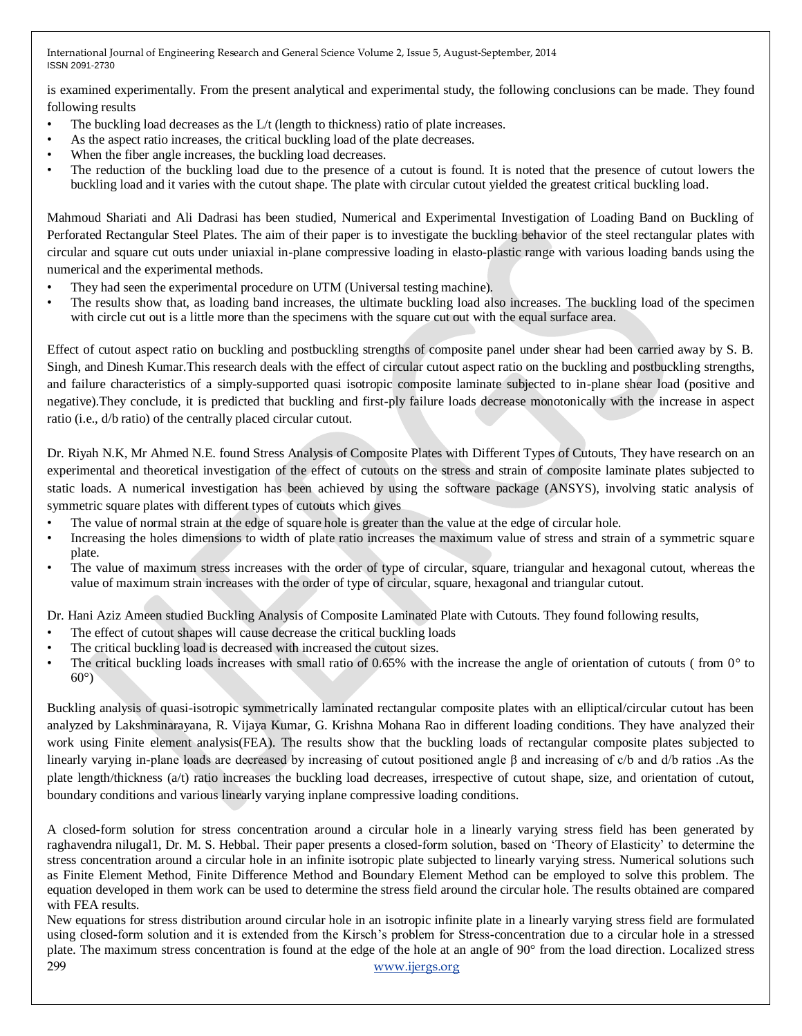is examined experimentally. From the present analytical and experimental study, the following conclusions can be made. They found following results

- The buckling load decreases as the L/t (length to thickness) ratio of plate increases.
- As the aspect ratio increases, the critical buckling load of the plate decreases.
- When the fiber angle increases, the buckling load decreases.
- The reduction of the buckling load due to the presence of a cutout is found. It is noted that the presence of cutout lowers the buckling load and it varies with the cutout shape. The plate with circular cutout yielded the greatest critical buckling load.

Mahmoud Shariati and Ali Dadrasi has been studied, Numerical and Experimental Investigation of Loading Band on Buckling of Perforated Rectangular Steel Plates. The aim of their paper is to investigate the buckling behavior of the steel rectangular plates with circular and square cut outs under uniaxial in-plane compressive loading in elasto-plastic range with various loading bands using the numerical and the experimental methods.

- They had seen the experimental procedure on UTM (Universal testing machine).
- The results show that, as loading band increases, the ultimate buckling load also increases. The buckling load of the specimen with circle cut out is a little more than the specimens with the square cut out with the equal surface area.

Effect of cutout aspect ratio on buckling and postbuckling strengths of composite panel under shear had been carried away by S. B. Singh, and Dinesh Kumar.This research deals with the effect of circular cutout aspect ratio on the buckling and postbuckling strengths, and failure characteristics of a simply-supported quasi isotropic composite laminate subjected to in-plane shear load (positive and negative).They conclude, it is predicted that buckling and first-ply failure loads decrease monotonically with the increase in aspect ratio (i.e., d/b ratio) of the centrally placed circular cutout.

Dr. Riyah N.K, Mr Ahmed N.E. found Stress Analysis of Composite Plates with Different Types of Cutouts, They have research on an experimental and theoretical investigation of the effect of cutouts on the stress and strain of composite laminate plates subjected to static loads. A numerical investigation has been achieved by using the software package (ANSYS), involving static analysis of symmetric square plates with different types of cutouts which gives

- The value of normal strain at the edge of square hole is greater than the value at the edge of circular hole.
- Increasing the holes dimensions to width of plate ratio increases the maximum value of stress and strain of a symmetric square plate.
- The value of maximum stress increases with the order of type of circular, square, triangular and hexagonal cutout, whereas the value of maximum strain increases with the order of type of circular, square, hexagonal and triangular cutout.

Dr. Hani Aziz Ameen studied Buckling Analysis of Composite Laminated Plate with Cutouts. They found following results,

- The effect of cutout shapes will cause decrease the critical buckling loads
- The critical buckling load is decreased with increased the cutout sizes.
- The critical buckling loads increases with small ratio of 0.65% with the increase the angle of orientation of cutouts (from 0° to 60°)

Buckling analysis of quasi-isotropic symmetrically laminated rectangular composite plates with an elliptical/circular cutout has been analyzed by Lakshminarayana, R. Vijaya Kumar, G. Krishna Mohana Rao in different loading conditions. They have analyzed their work using Finite element analysis(FEA). The results show that the buckling loads of rectangular composite plates subjected to linearly varying in-plane loads are decreased by increasing of cutout positioned angle β and increasing of c/b and d/b ratios .As the plate length/thickness (a/t) ratio increases the buckling load decreases, irrespective of cutout shape, size, and orientation of cutout, boundary conditions and various linearly varying inplane compressive loading conditions.

A closed-form solution for stress concentration around a circular hole in a linearly varying stress field has been generated by raghavendra nilugal1, Dr. M. S. Hebbal. Their paper presents a closed-form solution, based on 'Theory of Elasticity' to determine the stress concentration around a circular hole in an infinite isotropic plate subjected to linearly varying stress. Numerical solutions such as Finite Element Method, Finite Difference Method and Boundary Element Method can be employed to solve this problem. The equation developed in them work can be used to determine the stress field around the circular hole. The results obtained are compared with FEA results.

299 [www.ijergs.org](http://www.ijergs.org/) New equations for stress distribution around circular hole in an isotropic infinite plate in a linearly varying stress field are formulated using closed-form solution and it is extended from the Kirsch's problem for Stress-concentration due to a circular hole in a stressed plate. The maximum stress concentration is found at the edge of the hole at an angle of 90° from the load direction. Localized stress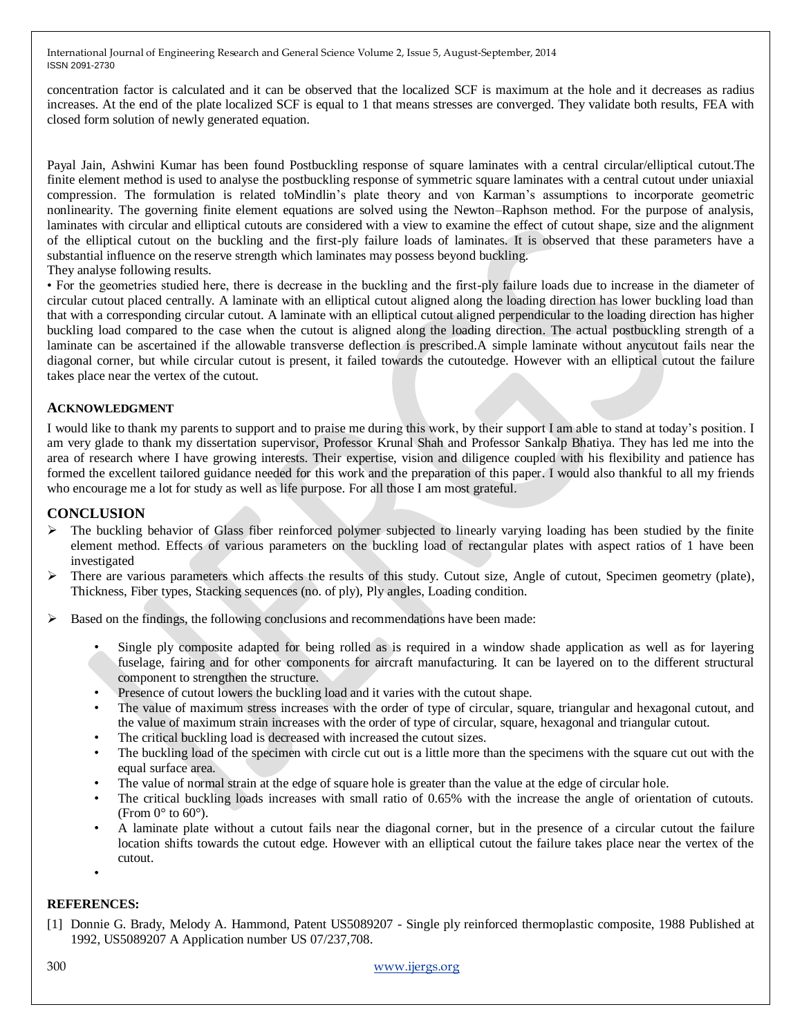concentration factor is calculated and it can be observed that the localized SCF is maximum at the hole and it decreases as radius increases. At the end of the plate localized SCF is equal to 1 that means stresses are converged. They validate both results, FEA with closed form solution of newly generated equation.

Payal Jain, Ashwini Kumar has been found Postbuckling response of square laminates with a central circular/elliptical cutout.The finite element method is used to analyse the postbuckling response of symmetric square laminates with a central cutout under uniaxial compression. The formulation is related toMindlin's plate theory and von Karman's assumptions to incorporate geometric nonlinearity. The governing finite element equations are solved using the Newton–Raphson method. For the purpose of analysis, laminates with circular and elliptical cutouts are considered with a view to examine the effect of cutout shape, size and the alignment of the elliptical cutout on the buckling and the first-ply failure loads of laminates. It is observed that these parameters have a substantial influence on the reserve strength which laminates may possess beyond buckling.

They analyse following results.

• For the geometries studied here, there is decrease in the buckling and the first-ply failure loads due to increase in the diameter of circular cutout placed centrally. A laminate with an elliptical cutout aligned along the loading direction has lower buckling load than that with a corresponding circular cutout. A laminate with an elliptical cutout aligned perpendicular to the loading direction has higher buckling load compared to the case when the cutout is aligned along the loading direction. The actual postbuckling strength of a laminate can be ascertained if the allowable transverse deflection is prescribed.A simple laminate without anycutout fails near the diagonal corner, but while circular cutout is present, it failed towards the cutoutedge. However with an elliptical cutout the failure takes place near the vertex of the cutout.

### **ACKNOWLEDGMENT**

I would like to thank my parents to support and to praise me during this work, by their support I am able to stand at today's position. I am very glade to thank my dissertation supervisor, Professor Krunal Shah and Professor Sankalp Bhatiya. They has led me into the area of research where I have growing interests. Their expertise, vision and diligence coupled with his flexibility and patience has formed the excellent tailored guidance needed for this work and the preparation of this paper. I would also thankful to all my friends who encourage me a lot for study as well as life purpose. For all those I am most grateful.

## **CONCLUSION**

- $\triangleright$  The buckling behavior of Glass fiber reinforced polymer subjected to linearly varying loading has been studied by the finite element method. Effects of various parameters on the buckling load of rectangular plates with aspect ratios of 1 have been investigated
- $\triangleright$  There are various parameters which affects the results of this study. Cutout size, Angle of cutout, Specimen geometry (plate), Thickness, Fiber types, Stacking sequences (no. of ply), Ply angles, Loading condition.
- $\triangleright$  Based on the findings, the following conclusions and recommendations have been made:
	- Single ply composite adapted for being rolled as is required in a window shade application as well as for layering fuselage, fairing and for other components for aircraft manufacturing. It can be layered on to the different structural component to strengthen the structure.
	- Presence of cutout lowers the buckling load and it varies with the cutout shape.
	- The value of maximum stress increases with the order of type of circular, square, triangular and hexagonal cutout, and the value of maximum strain increases with the order of type of circular, square, hexagonal and triangular cutout.
	- The critical buckling load is decreased with increased the cutout sizes.
	- The buckling load of the specimen with circle cut out is a little more than the specimens with the square cut out with the equal surface area.
	- The value of normal strain at the edge of square hole is greater than the value at the edge of circular hole.
	- The critical buckling loads increases with small ratio of 0.65% with the increase the angle of orientation of cutouts. (From  $0^\circ$  to  $60^\circ$ ).
	- A laminate plate without a cutout fails near the diagonal corner, but in the presence of a circular cutout the failure location shifts towards the cutout edge. However with an elliptical cutout the failure takes place near the vertex of the cutout.
	- •

#### **REFERENCES:**

[1] Donnie G. Brady, Melody A. Hammond, Patent US5089207 - Single ply reinforced thermoplastic composite, 1988 Published at 1992, US5089207 A Application number US 07/237,708.